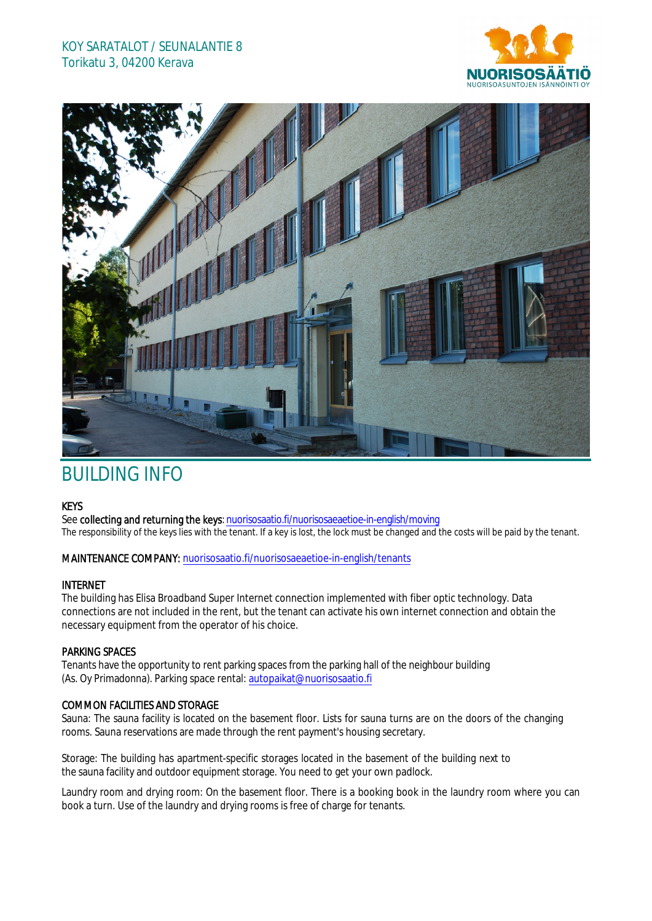## KOY SARATALOT / SEUNALANTIE 8 Torikatu 3, 04200 Kerava





# BUILDING INFO

#### KEYS

See collecting and returning the keys: nuorisosaatio.fi/nuorisosaeaetioe-in-english/moving The responsibility of the keys lies with the tenant. If a key is lost, the lock must be changed and the costs will be paid by the tenant.

#### MAINTENANCE COMPANY: nuorisosaatio.fi/nuorisosaeaetioe-in-english/tenants

### INTERNET

The building has Elisa Broadband Super Internet connection implemented with fiber optic technology. Data connections are not included in the rent, but the tenant can activate his own internet connection and obtain the necessary equipment from the operator of his choice.

#### PARKING SPACES

Tenants have the opportunity to rent parking spaces from the parking hall of the neighbour building (As. Oy Primadonna). Parking space rental: autopaikat@nuorisosaatio.fi

#### COMMON FACILITIES AND STORAGE

Sauna: The sauna facility is located on the basement floor. Lists for sauna turns are on the doors of the changing rooms. Sauna reservations are made through the rent payment's housing secretary.

Storage: The building has apartment-specific storages located in the basement of the building next to the sauna facility and outdoor equipment storage. You need to get your own padlock.

Laundry room and drying room: On the basement floor. There is a booking book in the laundry room where you can book a turn. Use of the laundry and drying rooms is free of charge for tenants.